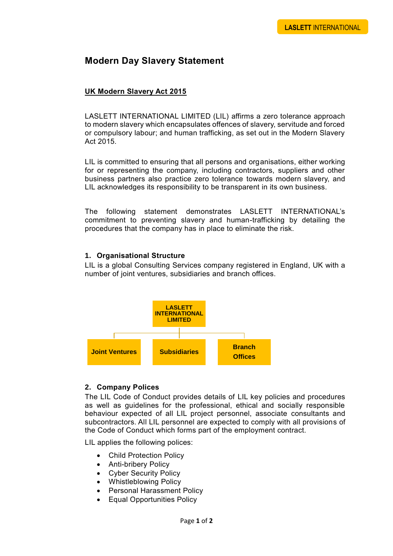# **Modern Day Slavery Statement**

## **UK Modern Slavery Act 2015**

LASLETT INTERNATIONAL LIMITED (LIL) affirms a zero tolerance approach to modern slavery which encapsulates offences of slavery, servitude and forced or compulsory labour; and human trafficking, as set out in the Modern Slavery Act 2015.

LIL is committed to ensuring that all persons and organisations, either working for or representing the company, including contractors, suppliers and other business partners also practice zero tolerance towards modern slavery, and LIL acknowledges its responsibility to be transparent in its own business.

The following statement demonstrates LASLETT INTERNATIONAL's commitment to preventing slavery and human-trafficking by detailing the procedures that the company has in place to eliminate the risk.

#### **1. Organisational Structure**

LIL is a global Consulting Services company registered in England, UK with a number of joint ventures, subsidiaries and branch offices.



## **2. Company Polices**

The LIL Code of Conduct provides details of LIL key policies and procedures as well as guidelines for the professional, ethical and socially responsible behaviour expected of all LIL project personnel, associate consultants and subcontractors. All LIL personnel are expected to comply with all provisions of the Code of Conduct which forms part of the employment contract.

LIL applies the following polices:

- Child Protection Policy
- Anti-bribery Policy
- Cyber Security Policy
- Whistleblowing Policy
- Personal Harassment Policy
- Equal Opportunities Policy